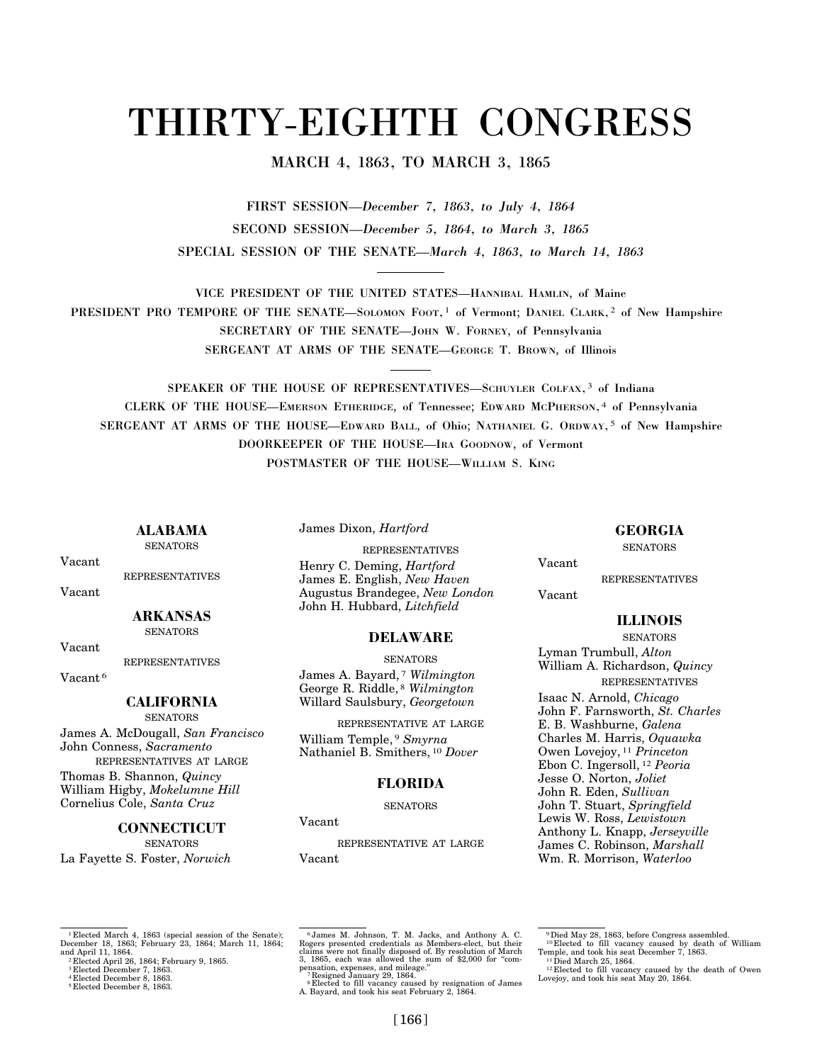# THIRTY-EIGHTH CONGRESS

# MARCH 4, 1863, TO MARCH 3, 1865

FIRST SESSION—*December 7, 1863, to July 4, 1864*  SECOND SESSION—*December 5, 1864, to March 3, 1865*  SPECIAL SESSION OF THE SENATE—*March 4, 1863, to March 14, 1863* 

VICE PRESIDENT OF THE UNITED STATES—HANNIBAL HAMLIN, of Maine PRESIDENT PRO TEMPORE OF THE SENATE-SOLOMON FOOT,<sup>1</sup> of Vermont; DANIEL CLARK,<sup>2</sup> of New Hampshire SECRETARY OF THE SENATE—JOHN W. FORNEY, of Pennsylvania SERGEANT AT ARMS OF THE SENATE—GEORGE T. BROWN, of Illinois

SPEAKER OF THE HOUSE OF REPRESENTATIVES—SCHUYLER COLFAX, 3 of Indiana CLERK OF THE HOUSE—EMERSON ETHERIDGE, of Tennessee; EDWARD MCPHERSON, 4 of Pennsylvania SERGEANT AT ARMS OF THE HOUSE—EDWARD BALL, of Ohio; NATHANIEL G. ORDWAY, 5 of New Hampshire DOORKEEPER OF THE HOUSE—IRA GOODNOW, of Vermont POSTMASTER OF THE HOUSE—WILLIAM S. KING

**ALABAMA SENATORS** 

Vacant

REPRESENTATIVES

Vacant

#### **ARKANSAS SENATORS**

Vacant

REPRESENTATIVES

Vacant 6

# **CALIFORNIA**

**SENATORS** James A. McDougall, *San Francisco*  John Conness, *Sacramento* 

REPRESENTATIVES AT LARGE

Thomas B. Shannon, *Quincy*  William Higby, *Mokelumne Hill*  Cornelius Cole, *Santa Cruz* 

## **CONNECTICUT**

**SENATORS** La Fayette S. Foster, *Norwich*  James Dixon, *Hartford* 

REPRESENTATIVES Henry C. Deming, *Hartford*  James E. English, *New Haven*  Augustus Brandegee, *New London*  John H. Hubbard, *Litchfield* 

## **DELAWARE**

**SENATORS** James A. Bayard, 7 *Wilmington*  George R. Riddle, 8 *Wilmington*  Willard Saulsbury, *Georgetown* 

REPRESENTATIVE AT LARGE William Temple, 9 *Smyrna*  Nathaniel B. Smithers, 10 *Dover* 

## **FLORIDA**

**SENATORS** 

#### Vacant

REPRESENTATIVE AT LARGE Vacant

**GEORGIA** 

**SENATORS** 

Vacant

REPRESENTATIVES

## Vacant

# **ILLINOIS**

SENATORS Lyman Trumbull, *Alton*  William A. Richardson, *Quincy*  REPRESENTATIVES Isaac N. Arnold, *Chicago*  John F. Farnsworth, *St. Charles*  E. B. Washburne, *Galena*  Charles M. Harris, *Oquawka*  Owen Lovejoy, 11 *Princeton*  Ebon C. Ingersoll, 12 *Peoria*  Jesse O. Norton, *Joliet*  John R. Eden, *Sullivan*  John T. Stuart, *Springfield*  Lewis W. Ross, *Lewistown*  Anthony L. Knapp, *Jerseyville*  James C. Robinson, *Marshall*  Wm. R. Morrison, *Waterloo* 

<sup>9</sup> Died May 28, 1863, before Congress assembled.<br><sup>10</sup> Elected to fill vacancy caused by death of William Temple, and took his seat December 7, 1863.<br><sup>11</sup> Died March 25, 1864. <sup>12</sup> Elected to fill vacancy caused by the death of Owen Lovejoy, and took his seat May 20, 1864.

1 Elected March 4, 1863 (special session of the Senate); December 18, 1863; February 23, 1864; March 11, 1864; and April 11, 1864. 2 Elected April 26, 1864; February 9, 1865.

 $^6$  James M. Johnson, T. M. Jacks, and Anthony A. C.<br>Rogers presented credentials as Members-elect, but their claims were not finally disposed of. By resolution of March<br>pass, achi was allowed the sum of \$2,000 for "comp

<sup>3</sup> Elected December 7, 1863. 4 Elected December 8, 1863. 5 Elected December 8, 1863.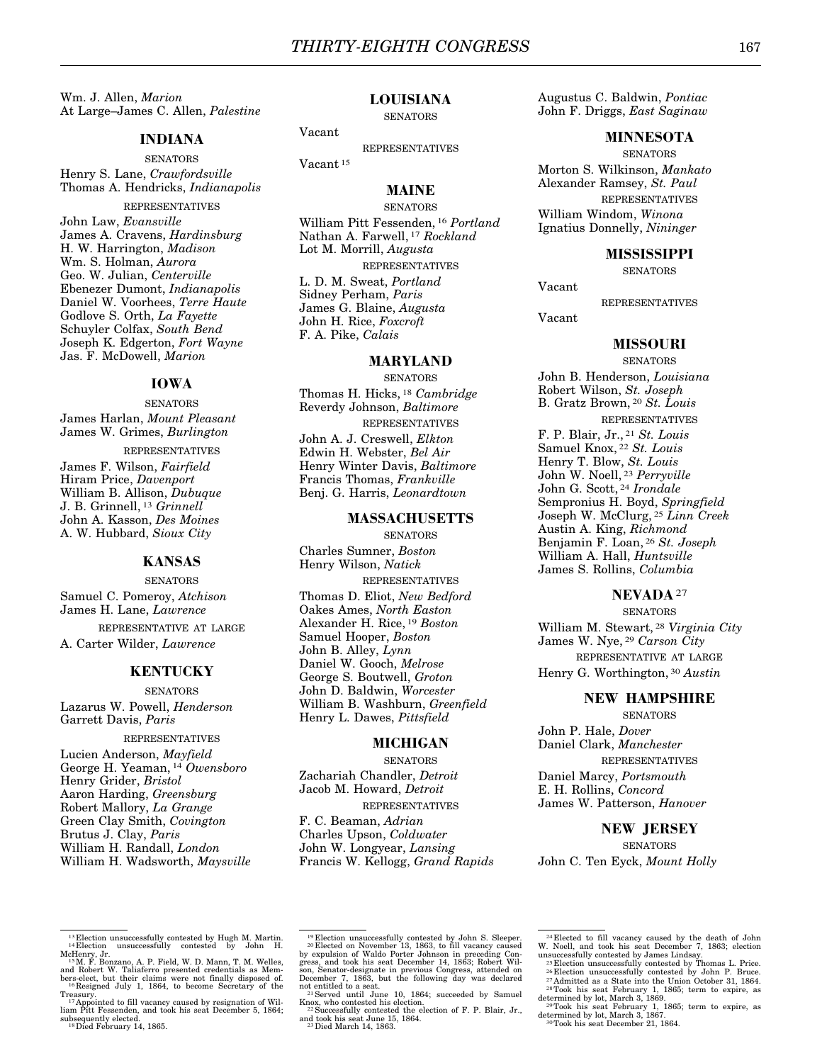Wm. J. Allen, *Marion*  At Large–James C. Allen, *Palestine* 

#### **INDIANA**

**SENATORS** Henry S. Lane, *Crawfordsville*  Thomas A. Hendricks, *Indianapolis* 

REPRESENTATIVES John Law, *Evansville*  James A. Cravens, *Hardinsburg*  H. W. Harrington, *Madison*  Wm. S. Holman, *Aurora*  Geo. W. Julian, *Centerville*  Ebenezer Dumont, *Indianapolis*  Daniel W. Voorhees, *Terre Haute*  Godlove S. Orth, *La Fayette*  Schuyler Colfax, *South Bend*  Joseph K. Edgerton, *Fort Wayne*  Jas. F. McDowell, *Marion* 

## **IOWA**

**SENATORS** James Harlan, *Mount Pleasant*  James W. Grimes, *Burlington*  REPRESENTATIVES James F. Wilson, *Fairfield*  Hiram Price, *Davenport*  William B. Allison, *Dubuque*  J. B. Grinnell, 13 *Grinnell*  John A. Kasson, *Des Moines*  A. W. Hubbard, *Sioux City* 

## **KANSAS**

**SENATORS** Samuel C. Pomeroy, *Atchison*  James H. Lane, *Lawrence*  REPRESENTATIVE AT LARGE

A. Carter Wilder, *Lawrence* 

## **KENTUCKY**

**SENATORS** Lazarus W. Powell, *Henderson*  Garrett Davis, *Paris* 

REPRESENTATIVES

Lucien Anderson, *Mayfield*  George H. Yeaman, 14 *Owensboro*  Henry Grider, *Bristol*  Aaron Harding, *Greensburg*  Robert Mallory, *La Grange*  Green Clay Smith, *Covington*  Brutus J. Clay, *Paris*  William H. Randall, *London*  William H. Wadsworth, *Maysville* 

## **LOUISIANA**

#### **SENATORS**

Vacant

Vacant 15

REPRESENTATIVES

## **MAINE**

**SENATORS** William Pitt Fessenden, 16 *Portland*  Nathan A. Farwell, 17 *Rockland*  Lot M. Morrill, *Augusta*  REPRESENTATIVES L. D. M. Sweat, *Portland*  Sidney Perham, *Paris*  James G. Blaine, *Augusta*  John H. Rice, *Foxcroft*  F. A. Pike, *Calais* 

#### **MARYLAND**

**SENATORS** Thomas H. Hicks, 18 *Cambridge*  Reverdy Johnson, *Baltimore*  REPRESENTATIVES John A. J. Creswell, *Elkton*  Edwin H. Webster, *Bel Air*  Henry Winter Davis, *Baltimore*  Francis Thomas, *Frankville*  Benj. G. Harris, *Leonardtown* 

## **MASSACHUSETTS**

**SENATORS** Charles Sumner, *Boston*  Henry Wilson, *Natick*  REPRESENTATIVES Thomas D. Eliot, *New Bedford*  Oakes Ames, *North Easton*  Alexander H. Rice, 19 *Boston*  Samuel Hooper, *Boston*  John B. Alley, *Lynn*  Daniel W. Gooch, *Melrose*  George S. Boutwell, *Groton*  John D. Baldwin, *Worcester*  William B. Washburn, *Greenfield*  Henry L. Dawes, *Pittsfield* 

#### **MICHIGAN**

**SENATORS** 

Zachariah Chandler, *Detroit*  Jacob M. Howard, *Detroit*  REPRESENTATIVES

F. C. Beaman, *Adrian*  Charles Upson, *Coldwater*  John W. Longyear, *Lansing*  Francis W. Kellogg, *Grand Rapids* 

Augustus C. Baldwin, *Pontiac*  John F. Driggs, *East Saginaw* 

## **MINNESOTA**

**SENATORS** Morton S. Wilkinson, *Mankato*  Alexander Ramsey, *St. Paul*  REPRESENTATIVES William Windom, *Winona*  Ignatius Donnelly, *Nininger* 

#### **MISSISSIPPI**

**SENATORS** 

Vacant

REPRESENTATIVES

Vacant

## **MISSOURI**

**SENATORS** John B. Henderson, *Louisiana*  Robert Wilson, *St. Joseph*  B. Gratz Brown, 20 *St. Louis*  REPRESENTATIVES F. P. Blair, Jr., 21 *St. Louis*  Samuel Knox, 22 *St. Louis*  Henry T. Blow, *St. Louis*  John W. Noell, 23 *Perryville*  John G. Scott, 24 *Irondale*  Sempronius H. Boyd, *Springfield*  Joseph W. McClurg, 25 *Linn Creek*  Austin A. King, *Richmond*  Benjamin F. Loan, 26 *St. Joseph* 

William A. Hall, *Huntsville*  James S. Rollins, *Columbia* 

#### **NEVADA**27

**SENATORS** 

William M. Stewart, 28 *Virginia City*  James W. Nye, 29 *Carson City*  REPRESENTATIVE AT LARGE Henry G. Worthington, 30 *Austin* 

#### **NEW HAMPSHIRE**

**SENATORS** 

John P. Hale, *Dover*  Daniel Clark, *Manchester*  REPRESENTATIVES Daniel Marcy, *Portsmouth*  E. H. Rollins, *Concord* 

James W. Patterson, *Hanover* 

#### **NEW JERSEY**

**SENATORS** John C. Ten Eyck, *Mount Holly* 

 $^{13}$  Election unsuccessfully contested by Hugh M. Martin.  $^{14}$  Election unsuccessfully contested by John H.

MeHenry, Jr.<br>1981 - M. F. Bonzano, A. P. Field, W. D. Mann, T. M. Welles,<br>2011 - Robert W. Taliaferro presented credentials as Mem-<br>1982 - Mether claims were not finally disposed of<br><sup>16</sup> Resigned July 1, 1864, to become Se

Treasury.<br>''Appointed to fill vacancy caused by resignation of Wil-<br>liam Pitt Fessenden, and took his seat December 5, 1864; subsequently elected.<br><sup>18</sup> Died February 14, 1865.

<sup>&</sup>lt;sup>19</sup> Election unsuccessfully contested by John S. Sleeper.<br><sup>20</sup> Elected on November 13, 1863, to fill vacancy caused<br>by expulsion of Waldo Porter Johnson in preceding Con-<br>gress, and took his esat December 14, 1863; Rober

Knox, who contested his election.<br><sup>22</sup> Successfully contested the election of F. P. Blair, Jr., and took his seat June 15, 1864. 23Died March 14, 1863.

<sup>24</sup> Elected to fill vacancy caused by the death of John W. Noell, and took his seat December 7, 1863; election unsuccessfully contested by James Lindsay. 25 Election unsuccessfully contested by Thomas L. Price.

<sup>&</sup>lt;sup>26</sup>Election unsuccessfully contested by John P. Bruce.<br><sup>27</sup> Admitted as a State into the Union October 31, 1864.<br><sup>28</sup> Took his seat February 1, 1865; term to expire, as<br>determined by lot, March 3, 1869.<br><sup>29</sup> Took his sea

<sup>&</sup>lt;sup>30</sup>Took his seat December 21, 1864.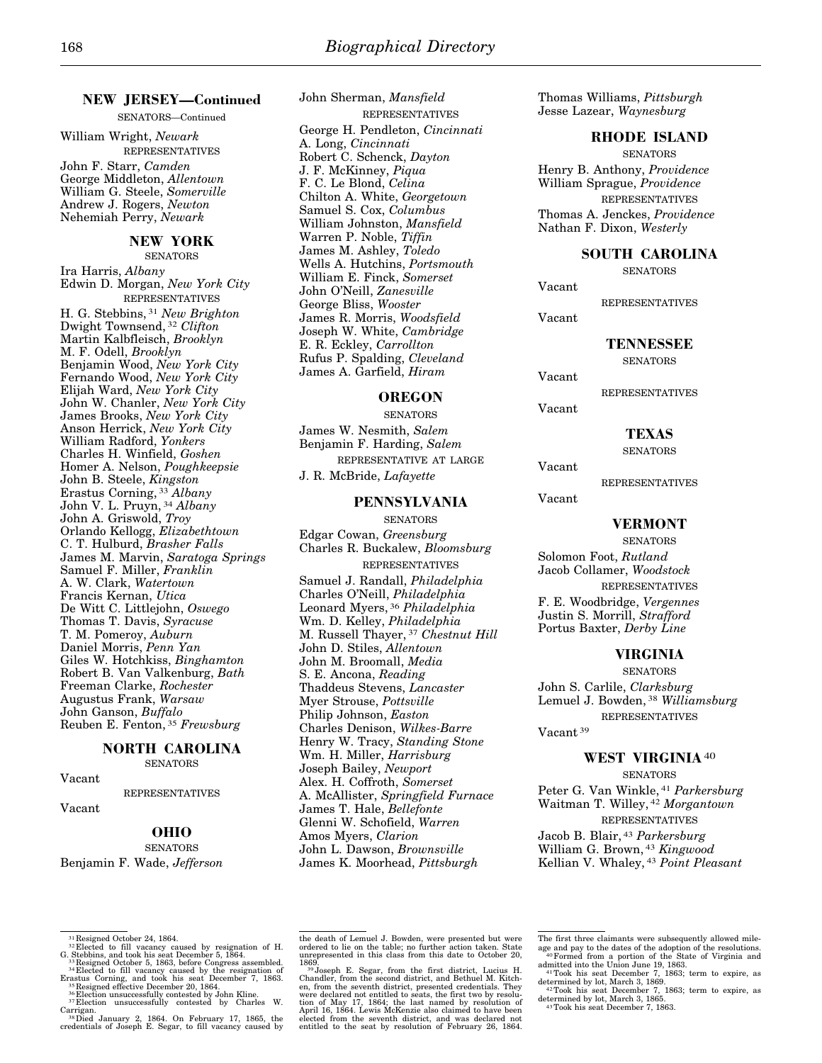# **NEW JERSEY—Continued**

SENATORS—Continued

William Wright, *Newark*  REPRESENTATIVES John F. Starr, *Camden*  George Middleton, *Allentown*  William G. Steele, *Somerville*  Andrew J. Rogers, *Newton*  Nehemiah Perry, *Newark* 

#### **NEW YORK**

**SENATORS** 

Ira Harris, *Albany*  Edwin D. Morgan, *New York City*  REPRESENTATIVES H. G. Stebbins, 31 *New Brighton*  Dwight Townsend, 32 *Clifton*  Martin Kalbfleisch, *Brooklyn*  M. F. Odell, *Brooklyn*  Benjamin Wood, *New York City*  Fernando Wood, *New York City*  Elijah Ward, *New York City*  John W. Chanler, *New York City*  James Brooks, *New York City*  Anson Herrick, *New York City*  William Radford, *Yonkers*  Charles H. Winfield, *Goshen*  Homer A. Nelson, *Poughkeepsie*  John B. Steele, *Kingston*  Erastus Corning, 33 *Albany*  John V. L. Pruyn, 34 *Albany*  John A. Griswold, *Troy*  Orlando Kellogg, *Elizabethtown*  C. T. Hulburd, *Brasher Falls*  James M. Marvin, *Saratoga Springs*  Samuel F. Miller, *Franklin*  A. W. Clark, *Watertown*  Francis Kernan, *Utica*  De Witt C. Littlejohn, *Oswego*  Thomas T. Davis, *Syracuse*  T. M. Pomeroy, *Auburn*  Daniel Morris, *Penn Yan*  Giles W. Hotchkiss, *Binghamton*  Robert B. Van Valkenburg, *Bath*  Freeman Clarke, *Rochester*  Augustus Frank, *Warsaw*  John Ganson, *Buffalo*  Reuben E. Fenton, 35 *Frewsburg* 

#### **NORTH CAROLINA SENATORS**

Vacant

REPRESENTATIVES

## Vacant

## **OHIO**

**SENATORS** Benjamin F. Wade, *Jefferson*  John Sherman, *Mansfield*  REPRESENTATIVES George H. Pendleton, *Cincinnati*  A. Long, *Cincinnati*  Robert C. Schenck, *Dayton*  J. F. McKinney, *Piqua*  F. C. Le Blond, *Celina*  Chilton A. White, *Georgetown*  Samuel S. Cox, *Columbus*  William Johnston, *Mansfield*  Warren P. Noble, *Tiffin*  James M. Ashley, *Toledo*  Wells A. Hutchins, *Portsmouth*  William E. Finck, *Somerset*  John O'Neill, *Zanesville*  George Bliss, *Wooster*  James R. Morris, *Woodsfield*  Joseph W. White, *Cambridge*  E. R. Eckley, *Carrollton*  Rufus P. Spalding, *Cleveland*  James A. Garfield, *Hiram* 

## **OREGON**

**SENATORS** James W. Nesmith, *Salem*  Benjamin F. Harding, *Salem*  REPRESENTATIVE AT LARGE J. R. McBride, *Lafayette* 

#### **PENNSYLVANIA**

**SENATORS** Edgar Cowan, *Greensburg*  Charles R. Buckalew, *Bloomsburg*  REPRESENTATIVES Samuel J. Randall, *Philadelphia*  Charles O'Neill, *Philadelphia*  Leonard Myers, 36 *Philadelphia*  Wm. D. Kelley, *Philadelphia*  M. Russell Thayer, 37 *Chestnut Hill*  John D. Stiles, *Allentown*  John M. Broomall, *Media*  S. E. Ancona, *Reading*  Thaddeus Stevens, *Lancaster*  Myer Strouse, *Pottsville*  Philip Johnson, *Easton*  Charles Denison, *Wilkes-Barre*  Henry W. Tracy, *Standing Stone*  Wm. H. Miller, *Harrisburg*  Joseph Bailey, *Newport*  Alex. H. Coffroth, *Somerset*  A. McAllister, *Springfield Furnace*  James T. Hale, *Bellefonte*  Glenni W. Schofield, *Warren*  Amos Myers, *Clarion*  John L. Dawson, *Brownsville*  James K. Moorhead, *Pittsburgh* 

Thomas Williams, *Pittsburgh*  Jesse Lazear, *Waynesburg* 

#### **RHODE ISLAND**

**SENATORS** Henry B. Anthony, *Providence*  William Sprague, *Providence*  REPRESENTATIVES Thomas A. Jenckes, *Providence*  Nathan F. Dixon, *Westerly* 

#### **SOUTH CAROLINA**

**SENATORS** 

Vacant

REPRESENTATIVES

Vacant

#### **TENNESSEE**

**SENATORS** 

Vacant

REPRESENTATIVES

Vacant

# **TEXAS**

**SENATORS** 

Vacant

REPRESENTATIVES

Vacant

## **VERMONT**

SENATORS Solomon Foot, *Rutland*  Jacob Collamer, *Woodstock*  REPRESENTATIVES F. E. Woodbridge, *Vergennes*  Justin S. Morrill, *Strafford*  Portus Baxter, *Derby Line* 

## **VIRGINIA**

**SENATORS** John S. Carlile, *Clarksburg*  Lemuel J. Bowden, 38 *Williamsburg*  REPRESENTATIVES

Vacant 39

#### **WEST VIRGINIA**40

**SENATORS** 

Peter G. Van Winkle, 41 *Parkersburg*  Waitman T. Willey, 42 *Morgantown*  REPRESENTATIVES

Jacob B. Blair, 43 *Parkersburg*  William G. Brown, 43 *Kingwood*  Kellian V. Whaley, 43 *Point Pleasant* 

- <sup>31</sup> Resigned October 24, 1864.<br><sup>32</sup> Elected to fill vacancy caused by resignation of H. G. Stebbins, and took his seat December 5, 1864. G. Stebbins, and took his seat December 5, 1864.<br><sup>33</sup> Resigned October 5, 1863, before Congress assembled.<br><sup>34</sup> Elected to fill vacancy caused by the resignation of
- Erastus Corning, and took his seat December 7, 1863.<br><sup>35</sup> Resigned effective December 20, 1864.<br><sup>36</sup> Election unsuccessfully contested by John Kline.<br><sup>37</sup> Election unsuccessfully contested by Charles W.
- 
- Carrigan. 38Died January 2, 1864. On February 17, 1865, the credentials of Joseph E. Segar, to fill vacancy caused by

1869.<br>
39 Joseph E. Segar, from the first district, Lucius H.<br>
39 Joseph E. Segar, from the sitter, and Bethuel M. Kitch-<br>
en, from the seventh district, presented credentials. They<br>
were declared not entitled to seats, th elected from the seventh district, and was declared not entitled to the seat by resolution of February 26, 1864.

the death of Lemuel J. Bowden, were presented but were ordered to lie on the table; no further action taken. State unrepresented in this class from this date to October 20,

The first three claimants were subsequently allowed mile-<br>age and pay to the dates of the adoption of the resolutions.<br><sup>40</sup>Formed from a portion of the State of Virginia and<br>admitted into the Union June 19, 1863.

<sup>41</sup>Took his seat December 7, 1863; term to expire, as determined by lot, March 3, 1869.

<sup>42</sup>Took his seat December 7, 1863; term to expire, as determined by lot, March 3, 1865. 43Took his seat December 7, 1863.